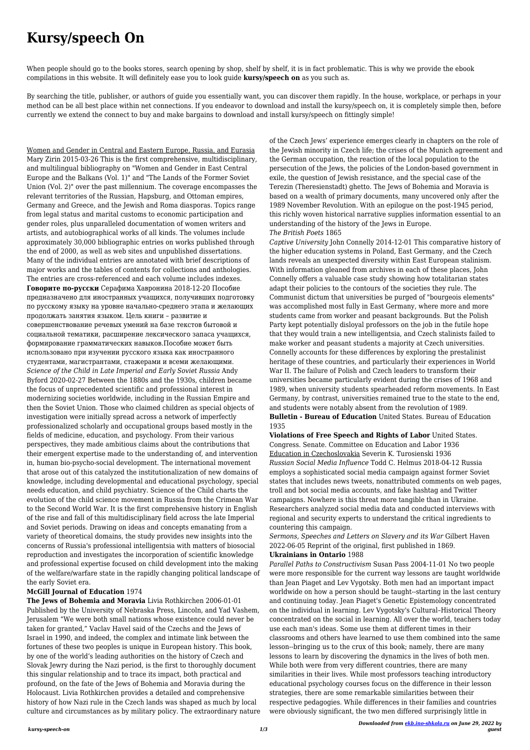# **Kursy/speech On**

When people should go to the books stores, search opening by shop, shelf by shelf, it is in fact problematic. This is why we provide the ebook compilations in this website. It will definitely ease you to look guide **kursy/speech on** as you such as.

By searching the title, publisher, or authors of guide you essentially want, you can discover them rapidly. In the house, workplace, or perhaps in your method can be all best place within net connections. If you endeavor to download and install the kursy/speech on, it is completely simple then, before currently we extend the connect to buy and make bargains to download and install kursy/speech on fittingly simple!

Women and Gender in Central and Eastern Europe, Russia, and Eurasia Mary Zirin 2015-03-26 This is the first comprehensive, multidisciplinary, and multilingual bibliography on "Women and Gender in East Central Europe and the Balkans (Vol. 1)" and "The Lands of the Former Soviet Union (Vol. 2)" over the past millennium. The coverage encompasses the relevant territories of the Russian, Hapsburg, and Ottoman empires, Germany and Greece, and the Jewish and Roma diasporas. Topics range from legal status and marital customs to economic participation and gender roles, plus unparalleled documentation of women writers and artists, and autobiographical works of all kinds. The volumes include approximately 30,000 bibliographic entries on works published through the end of 2000, as well as web sites and unpublished dissertations. Many of the individual entries are annotated with brief descriptions of major works and the tables of contents for collections and anthologies. The entries are cross-referenced and each volume includes indexes. **Говорите по-русски** Серафима Хавронина 2018-12-20 Пособие предназначено для иностранных учащихся, получивших подготовку по русскому языку на уровне начально-среднего этапа и желающих продолжать занятия языком. Цель книги – развитие и совершенствование речевых умений на базе текстов бытовой и социальной тематики, расширение лексического запаса учащихся, формирование грамматических навыков.Пособие может быть использовано при изучении русского языка как иностранного студентами, магистрантами, стажерами и всеми желающими. *Science of the Child in Late Imperial and Early Soviet Russia* Andy Byford 2020-02-27 Between the 1880s and the 1930s, children became the focus of unprecedented scientific and professional interest in modernizing societies worldwide, including in the Russian Empire and then the Soviet Union. Those who claimed children as special objects of investigation were initially spread across a network of imperfectly professionalized scholarly and occupational groups based mostly in the fields of medicine, education, and psychology. From their various perspectives, they made ambitious claims about the contributions that their emergent expertise made to the understanding of, and intervention in, human bio-psycho-social development. The international movement that arose out of this catalyzed the institutionalization of new domains of knowledge, including developmental and educational psychology, special needs education, and child psychiatry. Science of the Child charts the evolution of the child science movement in Russia from the Crimean War

to the Second World War. It is the first comprehensive history in English of the rise and fall of this multidisciplinary field across the late Imperial and Soviet periods. Drawing on ideas and concepts emanating from a variety of theoretical domains, the study provides new insights into the concerns of Russia's professional intelligentsia with matters of biosocial reproduction and investigates the incorporation of scientific knowledge and professional expertise focused on child development into the making

of the welfare/warfare state in the rapidly changing political landscape of the early Soviet era.

## **McGill Journal of Education** 1974

**The Jews of Bohemia and Moravia** Livia Rothkirchen 2006-01-01 Published by the University of Nebraska Press, Lincoln, and Yad Vashem, Jerusalem "We were both small nations whose existence could never be taken for granted," Vaclav Havel said of the Czechs and the Jews of Israel in 1990, and indeed, the complex and intimate link between the fortunes of these two peoples is unique in European history. This book, by one of the world's leading authorities on the history of Czech and Slovak Jewry during the Nazi period, is the first to thoroughly document this singular relationship and to trace its impact, both practical and profound, on the fate of the Jews of Bohemia and Moravia during the Holocaust. Livia Rothkirchen provides a detailed and comprehensive history of how Nazi rule in the Czech lands was shaped as much by local culture and circumstances as by military policy. The extraordinary nature of the Czech Jews' experience emerges clearly in chapters on the role of the Jewish minority in Czech life; the crises of the Munich agreement and the German occupation, the reaction of the local population to the persecution of the Jews, the policies of the London-based government in exile, the question of Jewish resistance, and the special case of the Terezin (Theresienstadt) ghetto. The Jews of Bohemia and Moravia is based on a wealth of primary documents, many uncovered only after the 1989 November Revolution. With an epilogue on the post-1945 period, this richly woven historical narrative supplies information essential to an understanding of the history of the Jews in Europe. *The British Poets* 1865

*Captive University* John Connelly 2014-12-01 This comparative history of the higher education systems in Poland, East Germany, and the Czech lands reveals an unexpected diversity within East European stalinism. With information gleaned from archives in each of these places, John Connelly offers a valuable case study showing how totalitarian states adapt their policies to the contours of the societies they rule. The Communist dictum that universities be purged of "bourgeois elements" was accomplished most fully in East Germany, where more and more students came from worker and peasant backgrounds. But the Polish Party kept potentially disloyal professors on the job in the futile hope that they would train a new intelligentsia, and Czech stalinists failed to make worker and peasant students a majority at Czech universities. Connelly accounts for these differences by exploring the prestalinist heritage of these countries, and particularly their experiences in World War II. The failure of Polish and Czech leaders to transform their universities became particularly evident during the crises of 1968 and 1989, when university students spearheaded reform movements. In East Germany, by contrast, universities remained true to the state to the end, and students were notably absent from the revolution of 1989. **Bulletin - Bureau of Education** United States. Bureau of Education

1935

**Violations of Free Speech and Rights of Labor** United States. Congress. Senate. Committee on Education and Labor 1936 Education in Czechoslovakia Severin K. Turosienski 1936 *Russian Social Media Influence* Todd C. Helmus 2018-04-12 Russia employs a sophisticated social media campaign against former Soviet states that includes news tweets, nonattributed comments on web pages, troll and bot social media accounts, and fake hashtag and Twitter campaigns. Nowhere is this threat more tangible than in Ukraine. Researchers analyzed social media data and conducted interviews with regional and security experts to understand the critical ingredients to countering this campaign.

*Sermons, Speeches and Letters on Slavery and its War* Gilbert Haven 2022-06-05 Reprint of the original, first published in 1869. **Ukrainians in Ontario** 1988

*Parallel Paths to Constructivism* Susan Pass 2004-11-01 No two people

were more responsible for the current way lessons are taught worldwide than Jean Piaget and Lev Vygotsky. Both men had an important impact worldwide on how a person should be taught--starting in the last century and continuing today. Jean Piaget's Genetic Epistemology concentrated on the individual in learning. Lev Vygotsky's Cultural–Historical Theory concentrated on the social in learning. All over the world, teachers today use each man's ideas. Some use them at different times in their classrooms and others have learned to use them combined into the same lesson--bringing us to the crux of this book; namely, there are many lessons to learn by discovering the dynamics in the lives of both men. While both were from very different countries, there are many similarities in their lives. While most professors teaching introductory educational psychology courses focus on the difference in their lesson strategies, there are some remarkable similarities between their respective pedagogies. While differences in their families and countries were obviously significant, the two men differed surprisingly little in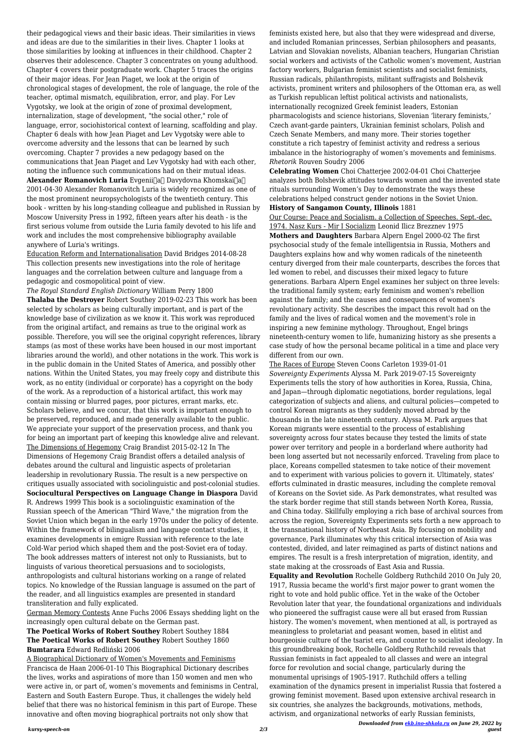*Downloaded from [ekb.ino-shkola.ru](http://ekb.ino-shkola.ru) on June 29, 2022 by guest*

their pedagogical views and their basic ideas. Their similarities in views and ideas are due to the similarities in their lives. Chapter 1 looks at those similarities by looking at influences in their childhood. Chapter 2 observes their adolescence. Chapter 3 concentrates on young adulthood. Chapter 4 covers their postgraduate work. Chapter 5 traces the origins of their major ideas. For Jean Piaget, we look at the origin of chronological stages of development, the role of language, the role of the teacher, optimal mismatch, equilibration, error, and play. For Lev Vygotsky, we look at the origin of zone of proximal development, internalization, stage of development, "the social other," role of language, error, sociohistorical context of learning, scaffolding and play. Chapter 6 deals with how Jean Piaget and Lev Vygotsky were able to overcome adversity and the lessons that can be learned by such overcoming. Chapter 7 provides a new pedagogy based on the communications that Jean Piaget and Lev Vygotsky had with each other, noting the influence such communications had on their mutual ideas. **Alexander Romanovich Luria** Evgenii[a<sup>[]</sup> Davydovna Khomskai[]a<sup>[]</sup> 2001-04-30 Alexander Romanovitch Luria is widely recognized as one of the most prominent neuropsychologists of the twentieth century. This book - written by his long-standing colleague and published in Russian by Moscow University Press in 1992, fifteen years after his death - is the first serious volume from outside the Luria family devoted to his life and work and includes the most comprehensive bibliography available anywhere of Luria's writings.

Education Reform and Internationalisation David Bridges 2014-08-28 This collection presents new investigations into the role of heritage languages and the correlation between culture and language from a pedagogic and cosmopolitical point of view.

*The Royal Standard English Dictionary* William Perry 1800 **Thalaba the Destroyer** Robert Southey 2019-02-23 This work has been selected by scholars as being culturally important, and is part of the knowledge base of civilization as we know it. This work was reproduced from the original artifact, and remains as true to the original work as possible. Therefore, you will see the original copyright references, library stamps (as most of these works have been housed in our most important libraries around the world), and other notations in the work. This work is in the public domain in the United States of America, and possibly other nations. Within the United States, you may freely copy and distribute this work, as no entity (individual or corporate) has a copyright on the body of the work. As a reproduction of a historical artifact, this work may contain missing or blurred pages, poor pictures, errant marks, etc. Scholars believe, and we concur, that this work is important enough to be preserved, reproduced, and made generally available to the public. We appreciate your support of the preservation process, and thank you for being an important part of keeping this knowledge alive and relevant. The Dimensions of Hegemony Craig Brandist 2015-02-12 In The Dimensions of Hegemony Craig Brandist offers a detailed analysis of debates around the cultural and linguistic aspects of proletarian leadership in revolutionary Russia. The result is a new perspective on critiques usually associated with sociolinguistic and post-colonial studies. **Sociocultural Perspectives on Language Change in Diaspora** David R. Andrews 1999 This book is a sociolinguistic examination of the Russian speech of the American "Third Wave," the migration from the Soviet Union which began in the early 1970s under the policy of detente. Within the framework of bilingualism and language contact studies, it examines developments in emigre Russian with reference to the late Cold-War period which shaped them and the post-Soviet era of today. The book addresses matters of interest not only to Russianists, but to linguists of various theoretical persuasions and to sociologists, anthropologists and cultural historians working on a range of related topics. No knowledge of the Russian language is assumed on the part of the reader, and all linguistics examples are presented in standard transliteration and fully explicated.

German Memory Contests Anne Fuchs 2006 Essays shedding light on the increasingly open cultural debate on the German past.

## **The Poetical Works of Robert Southey** Robert Southey 1884 **The Poetical Works of Robert Southey** Robert Southey 1860 **Bumtarara** Edward Redliński 2006

A Biographical Dictionary of Women's Movements and Feminisms Francisca de Haan 2006-01-10 This Biographical Dictionary describes the lives, works and aspirations of more than 150 women and men who were active in, or part of, women's movements and feminisms in Central, Eastern and South Eastern Europe. Thus, it challenges the widely held belief that there was no historical feminism in this part of Europe. These innovative and often moving biographical portraits not only show that

feminists existed here, but also that they were widespread and diverse, and included Romanian princesses, Serbian philosophers and peasants, Latvian and Slovakian novelists, Albanian teachers, Hungarian Christian social workers and activists of the Catholic women's movement, Austrian factory workers, Bulgarian feminist scientists and socialist feminists, Russian radicals, philanthropists, militant suffragists and Bolshevik activists, prominent writers and philosophers of the Ottoman era, as well as Turkish republican leftist political activists and nationalists, internationally recognized Greek feminist leaders, Estonian pharmacologists and science historians, Slovenian 'literary feminists,' Czech avant-garde painters, Ukrainian feminist scholars, Polish and Czech Senate Members, and many more. Their stories together constitute a rich tapestry of feminist activity and redress a serious imbalance in the historiography of women's movements and feminisms. *Rhetorik* Rouven Soudry 2006

**Celebrating Women** Choi Chatterjee 2002-04-01 Choi Chatterjee analyzes both Bolshevik attitudes towards women and the invented state rituals surrounding Women's Day to demonstrate the ways these celebrations helped construct gender notions in the Soviet Union. **History of Sangamon County, Illinois** 1881

Our Course: Peace and Socialism. a Collection of Speeches. Sept.-dec. 1974. Nasz Kurs - Mir I Socializm Leonid Ilicz Brezznev 1975 **Mothers and Daughters** Barbara Alpern Engel 2000-02 The first psychosocial study of the female intelligentsia in Russia, Mothers and Daughters explains how and why women radicals of the nineteenth century diverged from their male counterparts, describes the forces that led women to rebel, and discusses their mixed legacy to future generations. Barbara Alpern Engel examines her subject on three levels: the traditional family system; early feminism and women's rebellion against the family; and the causes and consequences of women's revolutionary activity. She describes the impact this revolt had on the family and the lives of radical women and the movement's role in inspiring a new feminine mythology. Throughout, Engel brings nineteenth-century women to life, humanizing history as she presents a case study of how the personal became political in a time and place very different from our own.

The Races of Europe Steven Coons Carleton 1939-01-01 *Sovereignty Experiments* Alyssa M. Park 2019-07-15 Sovereignty Experiments tells the story of how authorities in Korea, Russia, China, and Japan—through diplomatic negotiations, border regulations, legal categorization of subjects and aliens, and cultural policies—competed to control Korean migrants as they suddenly moved abroad by the thousands in the late nineteenth century. Alyssa M. Park argues that Korean migrants were essential to the process of establishing sovereignty across four states because they tested the limits of state power over territory and people in a borderland where authority had been long asserted but not necessarily enforced. Traveling from place to place, Koreans compelled statesmen to take notice of their movement and to experiment with various policies to govern it. Ultimately, states' efforts culminated in drastic measures, including the complete removal of Koreans on the Soviet side. As Park demonstrates, what resulted was the stark border regime that still stands between North Korea, Russia, and China today. Skillfully employing a rich base of archival sources from across the region, Sovereignty Experiments sets forth a new approach to the transnational history of Northeast Asia. By focusing on mobility and governance, Park illuminates why this critical intersection of Asia was contested, divided, and later reimagined as parts of distinct nations and empires. The result is a fresh interpretation of migration, identity, and state making at the crossroads of East Asia and Russia. **Equality and Revolution** Rochelle Goldberg Ruthchild 2010 On July 20, 1917, Russia became the world's first major power to grant women the right to vote and hold public office. Yet in the wake of the October Revolution later that year, the foundational organizations and individuals who pioneered the suffragist cause were all but erased from Russian history. The women's movement, when mentioned at all, is portrayed as meaningless to proletariat and peasant women, based in elitist and bourgeoisie culture of the tsarist era, and counter to socialist ideology. In this groundbreaking book, Rochelle Goldberg Ruthchild reveals that Russian feminists in fact appealed to all classes and were an integral force for revolution and social change, particularly during the monumental uprisings of 1905-1917. Ruthchild offers a telling examination of the dynamics present in imperialist Russia that fostered a growing feminist movement. Based upon extensive archival research in six countries, she analyzes the backgrounds, motivations, methods, activism, and organizational networks of early Russian feminists,